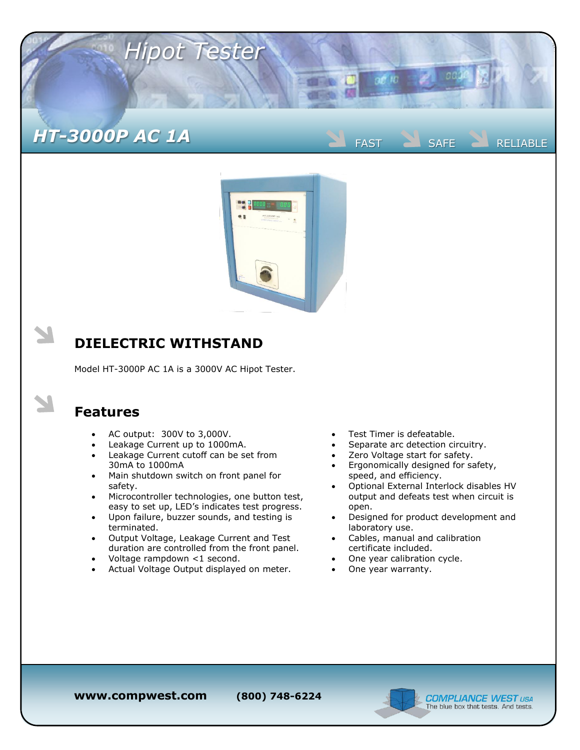



## **DIELECTRIC WITHSTAND**

Model HT-3000P AC 1A is a 3000V AC Hipot Tester.

## **Features**

- AC output: 300V to 3,000V.
- Leakage Current up to 1000mA.
- Leakage Current cutoff can be set from 30mA to 1000mA
- Main shutdown switch on front panel for safety.
- Microcontroller technologies, one button test, easy to set up, LED's indicates test progress.
- Upon failure, buzzer sounds, and testing is terminated.
- Output Voltage, Leakage Current and Test duration are controlled from the front panel.
- Voltage rampdown <1 second.
- Actual Voltage Output displayed on meter.
- Test Timer is defeatable.
- Separate arc detection circuitry.
- Zero Voltage start for safety.
- Ergonomically designed for safety, speed, and efficiency.
- Optional External Interlock disables HV output and defeats test when circuit is open.
- Designed for product development and laboratory use.
- Cables, manual and calibration certificate included.
- One year calibration cycle.
- One year warranty.